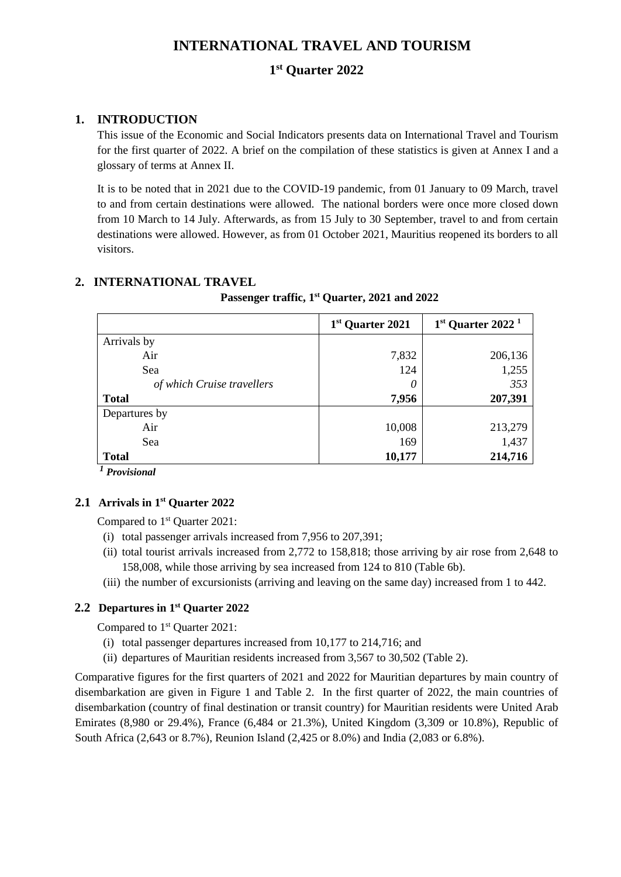# **INTERNATIONAL TRAVEL AND TOURISM**

# **1 st Quarter 2022**

# **1. INTRODUCTION**

This issue of the Economic and Social Indicators presents data on International Travel and Tourism for the first quarter of 2022. A brief on the compilation of these statistics is given at Annex I and a glossary of terms at Annex II.

It is to be noted that in 2021 due to the COVID-19 pandemic, from 01 January to 09 March, travel to and from certain destinations were allowed. The national borders were once more closed down from 10 March to 14 July. Afterwards, as from 15 July to 30 September, travel to and from certain destinations were allowed. However, as from 01 October 2021, Mauritius reopened its borders to all visitors.

# **2. INTERNATIONAL TRAVEL**

 **Passenger traffic, 1 st Quarter, 2021 and 2022**

|                            | 1 <sup>st</sup> Quarter 2021 | $1st$ Quarter 2022 <sup>1</sup> |
|----------------------------|------------------------------|---------------------------------|
| Arrivals by                |                              |                                 |
| Air                        | 7,832                        | 206,136                         |
| Sea                        | 124                          | 1,255                           |
| of which Cruise travellers | 0                            | 353                             |
| <b>Total</b>               | 7,956                        | 207,391                         |
| Departures by              |                              |                                 |
| Air                        | 10,008                       | 213,279                         |
| Sea                        | 169                          | 1,437                           |
| <b>Total</b>               | 10,177                       | 214,716                         |

*<sup>1</sup> Provisional*

# **2.1 Arrivals in 1 st Quarter 2022**

Compared to 1 st Quarter 2021:

- (i) total passenger arrivals increased from 7,956 to 207,391;
- (ii) total tourist arrivals increased from 2,772 to 158,818; those arriving by air rose from 2,648 to 158,008, while those arriving by sea increased from 124 to 810 (Table 6b).
- (iii) the number of excursionists (arriving and leaving on the same day) increased from 1 to 442.

# **2.2 Departures in 1 st Quarter 2022**

Compared to 1<sup>st</sup> Quarter 2021:

- (i) total passenger departures increased from 10,177 to 214,716; and
- (ii) departures of Mauritian residents increased from 3,567 to 30,502 (Table 2).

Comparative figures for the first quarters of 2021 and 2022 for Mauritian departures by main country of disembarkation are given in Figure 1 and Table 2. In the first quarter of 2022, the main countries of disembarkation (country of final destination or transit country) for Mauritian residents were United Arab Emirates (8,980 or 29.4%), France (6,484 or 21.3%), United Kingdom (3,309 or 10.8%), Republic of South Africa (2,643 or 8.7%), Reunion Island (2,425 or 8.0%) and India (2,083 or 6.8%).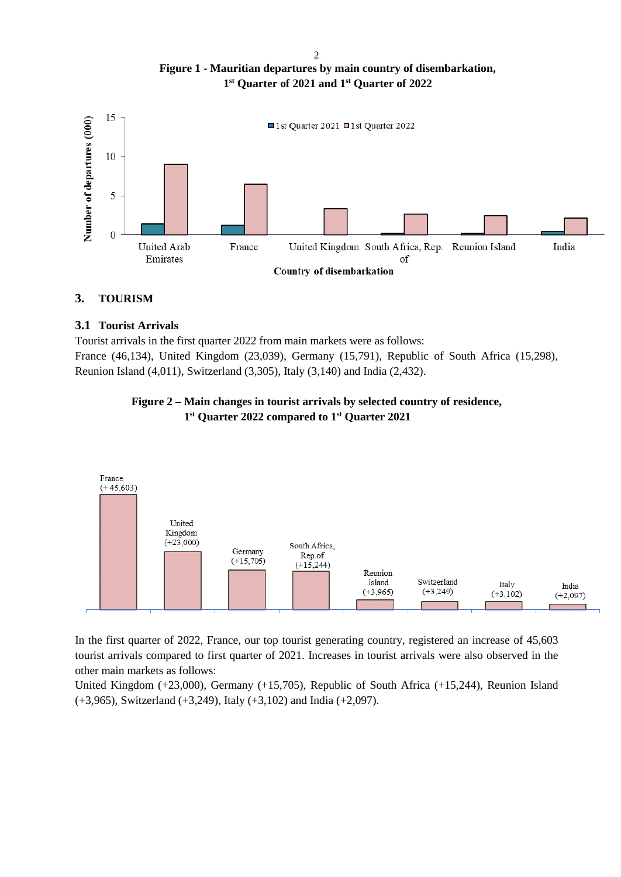**Figure 1 - Mauritian departures by main country of disembarkation, 1 st Quarter of 2021 and 1 st Quarter of 2022**



# **3. TOURISM**

# **3.1 Tourist Arrivals**

Tourist arrivals in the first quarter 2022 from main markets were as follows: France (46,134), United Kingdom (23,039), Germany (15,791), Republic of South Africa (15,298), Reunion Island (4,011), Switzerland (3,305), Italy (3,140) and India (2,432).

### **Figure 2 – Main changes in tourist arrivals by selected country of residence, 1 st Quarter 2022 compared to 1st Quarter 2021**



In the first quarter of 2022, France, our top tourist generating country, registered an increase of 45,603 tourist arrivals compared to first quarter of 2021. Increases in tourist arrivals were also observed in the other main markets as follows:

United Kingdom (+23,000), Germany (+15,705), Republic of South Africa (+15,244), Reunion Island (+3,965), Switzerland (+3,249), Italy (+3,102) and India (+2,097).

 $\overline{2}$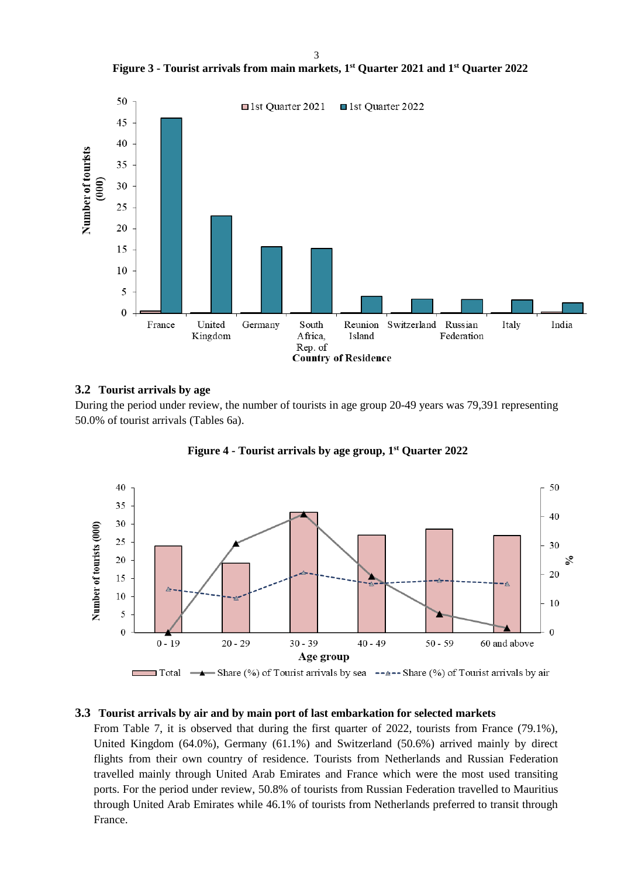3

**Figure 3 - Tourist arrivals from main markets, 1 st Quarter 2021 and 1 st Quarter 2022**



# **3.2 Tourist arrivals by age**

During the period under review, the number of tourists in age group 20-49 years was 79,391 representing 50.0% of tourist arrivals (Tables 6a).



**Figure 4 - Tourist arrivals by age group, 1 st Quarter 2022**

# **3.3 Tourist arrivals by air and by main port of last embarkation for selected markets**

From Table 7, it is observed that during the first quarter of 2022, tourists from France (79.1%), United Kingdom (64.0%), Germany (61.1%) and Switzerland (50.6%) arrived mainly by direct flights from their own country of residence. Tourists from Netherlands and Russian Federation travelled mainly through United Arab Emirates and France which were the most used transiting ports. For the period under review, 50.8% of tourists from Russian Federation travelled to Mauritius through United Arab Emirates while 46.1% of tourists from Netherlands preferred to transit through France.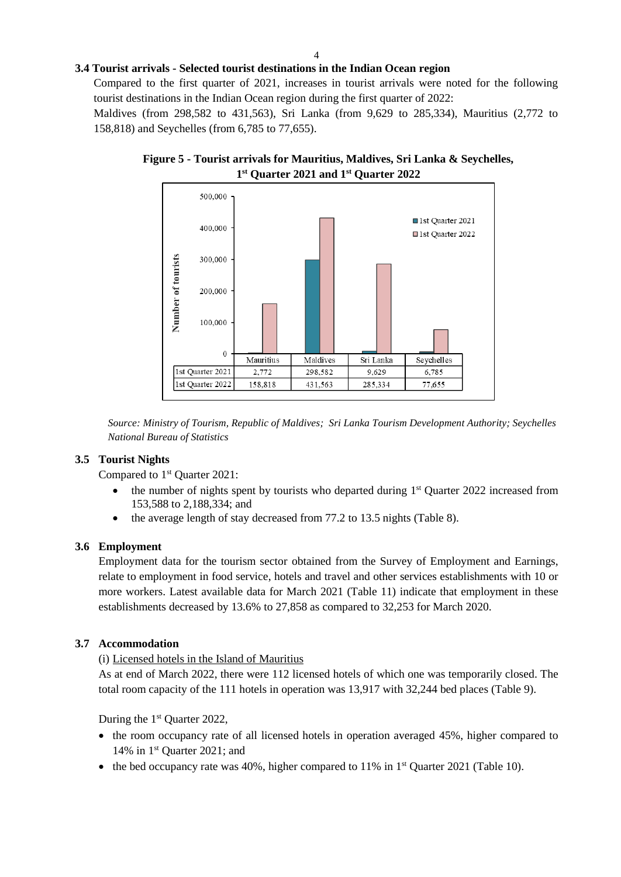## **3.4 Tourist arrivals - Selected tourist destinations in the Indian Ocean region**

Compared to the first quarter of 2021, increases in tourist arrivals were noted for the following tourist destinations in the Indian Ocean region during the first quarter of 2022:

Maldives (from 298,582 to 431,563), Sri Lanka (from 9,629 to 285,334), Mauritius (2,772 to 158,818) and Seychelles (from 6,785 to 77,655).





*Source: Ministry of Tourism, Republic of Maldives; Sri Lanka Tourism Development Authority; Seychelles National Bureau of Statistics*

### **3.5 Tourist Nights**

Compared to 1<sup>st</sup> Quarter 2021:

- $\bullet$  the number of nights spent by tourists who departed during  $1<sup>st</sup>$  Quarter 2022 increased from 153,588 to 2,188,334; and
- the average length of stay decreased from 77.2 to 13.5 nights (Table 8).

### **3.6 Employment**

Employment data for the tourism sector obtained from the Survey of Employment and Earnings, relate to employment in food service, hotels and travel and other services establishments with 10 or more workers. Latest available data for March 2021 (Table 11) indicate that employment in these establishments decreased by 13.6% to 27,858 as compared to 32,253 for March 2020.

# **3.7 Accommodation**

### (i) Licensed hotels in the Island of Mauritius

As at end of March 2022, there were 112 licensed hotels of which one was temporarily closed. The total room capacity of the 111 hotels in operation was 13,917 with 32,244 bed places (Table 9).

During the  $1<sup>st</sup>$  Quarter 2022,

- the room occupancy rate of all licensed hotels in operation averaged 45%, higher compared to 14% in 1 st Quarter 2021; and
- $\bullet$  the bed occupancy rate was 40%, higher compared to 11% in 1<sup>st</sup> Quarter 2021 (Table 10).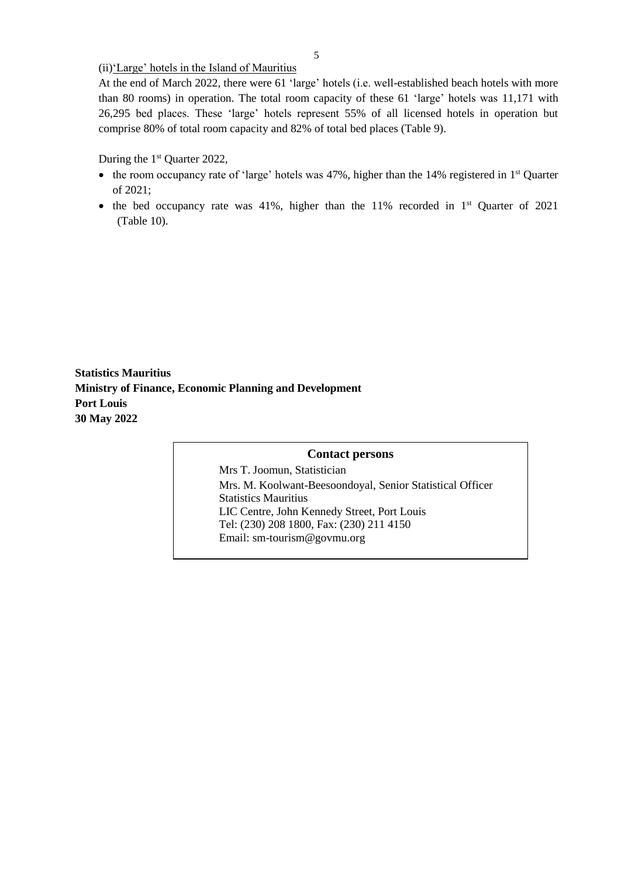(ii)'Large' hotels in the Island of Mauritius

At the end of March 2022, there were 61 'large' hotels (i.e. well-established beach hotels with more than 80 rooms) in operation. The total room capacity of these 61 'large' hotels was 11,171 with 26,295 bed places. These 'large' hotels represent 55% of all licensed hotels in operation but comprise 80% of total room capacity and 82% of total bed places (Table 9).

During the  $1<sup>st</sup>$  Quarter 2022,

- the room occupancy rate of 'large' hotels was 47%, higher than the 14% registered in 1<sup>st</sup> Quarter of 2021;
- $\bullet$  the bed occupancy rate was 41%, higher than the 11% recorded in 1<sup>st</sup> Quarter of 2021 (Table 10).

**Statistics Mauritius Ministry of Finance, Economic Planning and Development Port Louis 30 May 2022**

# **Contact persons**

Mrs T. Joomun, Statistician Mrs. M. Koolwant-Beesoondoyal, Senior Statistical Officer Statistics Mauritius LIC Centre, John Kennedy Street, Port Louis Tel: (230) 208 1800, Fax: (230) 211 4150 Email: sm-tourism@govmu.org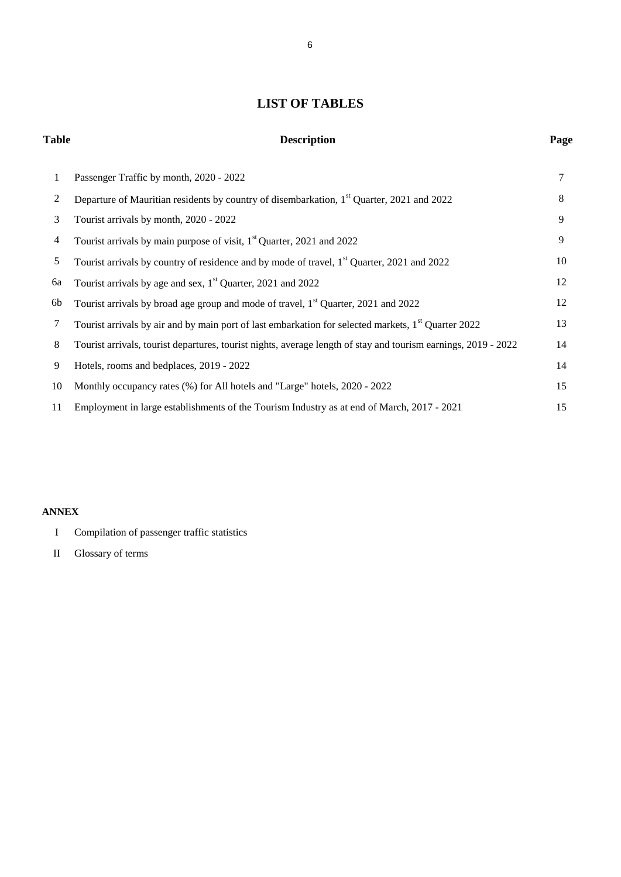# **LIST OF TABLES**

# **Table Description Page**

| -1 | Passenger Traffic by month, 2020 - 2022                                                                        | 7  |
|----|----------------------------------------------------------------------------------------------------------------|----|
| 2  | Departure of Mauritian residents by country of disembarkation, 1 <sup>st</sup> Quarter, 2021 and 2022          | 8  |
| 3  | Tourist arrivals by month, 2020 - 2022                                                                         | 9  |
| 4  | Tourist arrivals by main purpose of visit, 1 <sup>st</sup> Quarter, 2021 and 2022                              | 9  |
| 5  | Tourist arrivals by country of residence and by mode of travel, 1 <sup>st</sup> Quarter, 2021 and 2022         | 10 |
| 6a | Tourist arrivals by age and sex, $1st$ Quarter, 2021 and 2022                                                  | 12 |
| 6b | Tourist arrivals by broad age group and mode of travel, 1 <sup>st</sup> Quarter, 2021 and 2022                 | 12 |
| 7  | Tourist arrivals by air and by main port of last embarkation for selected markets, $1st$ Quarter 2022          | 13 |
| 8  | Tourist arrivals, tourist departures, tourist nights, average length of stay and tourism earnings, 2019 - 2022 | 14 |
| 9  | Hotels, rooms and bedplaces, 2019 - 2022                                                                       | 14 |
| 10 | Monthly occupancy rates (%) for All hotels and "Large" hotels, 2020 - 2022                                     | 15 |
| 11 | Employment in large establishments of the Tourism Industry as at end of March, 2017 - 2021                     | 15 |

# **ANNEX**

- I Compilation of passenger traffic statistics
- II Glossary of terms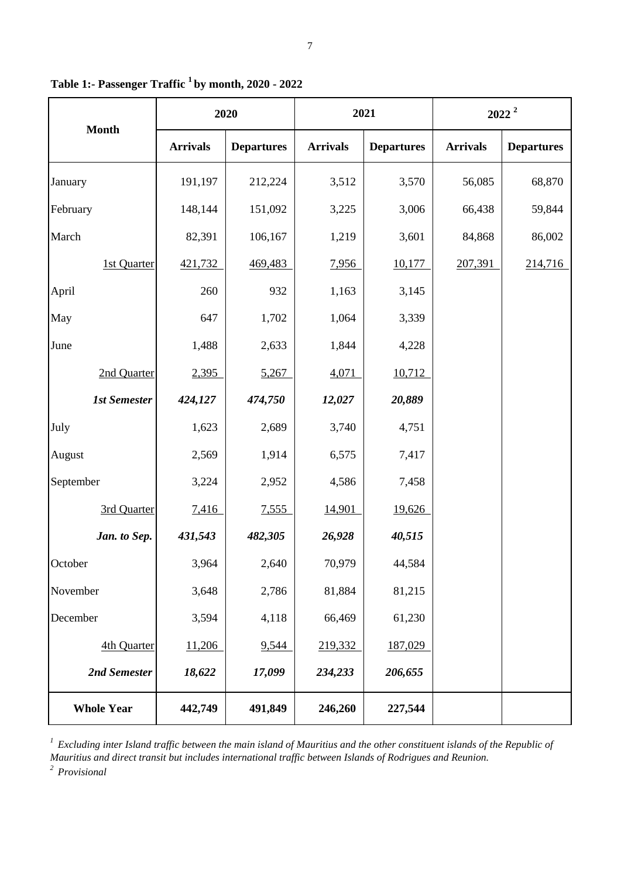|                     | 2020            |                   | 2021            |                   | $2022^2$        |                   |
|---------------------|-----------------|-------------------|-----------------|-------------------|-----------------|-------------------|
| <b>Month</b>        | <b>Arrivals</b> | <b>Departures</b> | <b>Arrivals</b> | <b>Departures</b> | <b>Arrivals</b> | <b>Departures</b> |
| January             | 191,197         | 212,224           | 3,512           | 3,570             | 56,085          | 68,870            |
| February            | 148,144         | 151,092           | 3,225           | 3,006             | 66,438          | 59,844            |
| March               | 82,391          | 106,167           | 1,219           | 3,601             | 84,868          | 86,002            |
| 1st Quarter         | 421,732         | 469,483           | 7,956           | 10,177            | 207,391         | 214,716           |
| April               | 260             | 932               | 1,163           | 3,145             |                 |                   |
| May                 | 647             | 1,702             | 1,064           | 3,339             |                 |                   |
| June                | 1,488           | 2,633             | 1,844           | 4,228             |                 |                   |
| 2nd Quarter         | 2,395           | 5,267             | 4,071           | 10,712            |                 |                   |
| <b>1st Semester</b> | 424,127         | 474,750           | 12,027          | 20,889            |                 |                   |
| July                | 1,623           | 2,689             | 3,740           | 4,751             |                 |                   |
| August              | 2,569           | 1,914             | 6,575           | 7,417             |                 |                   |
| September           | 3,224           | 2,952             | 4,586           | 7,458             |                 |                   |
| 3rd Quarter         | 7,416           | 7,555             | 14,901          | 19,626            |                 |                   |
| Jan. to Sep.        | 431,543         | 482,305           | 26,928          | 40,515            |                 |                   |
| October             | 3,964           | 2,640             | 70,979          | 44,584            |                 |                   |
| November            | 3,648           | 2,786             | 81,884          | 81,215            |                 |                   |
| December            | 3,594           | 4,118             | 66,469          | 61,230            |                 |                   |
| 4th Quarter         | 11,206          | 9,544             | 219,332         | 187,029           |                 |                   |
| 2nd Semester        | 18,622          | 17,099            | 234,233         | 206,655           |                 |                   |
| <b>Whole Year</b>   | 442,749         | 491,849           | 246,260         | 227,544           |                 |                   |

**Table 1:- Passenger Traffic <sup>1</sup>by month, 2020 - 2022**

<sup>1</sup> Excluding inter Island traffic between the main island of Mauritius and the other constituent islands of the Republic of *Mauritius and direct transit but includes international traffic between Islands of Rodrigues and Reunion.*

*2 Provisional*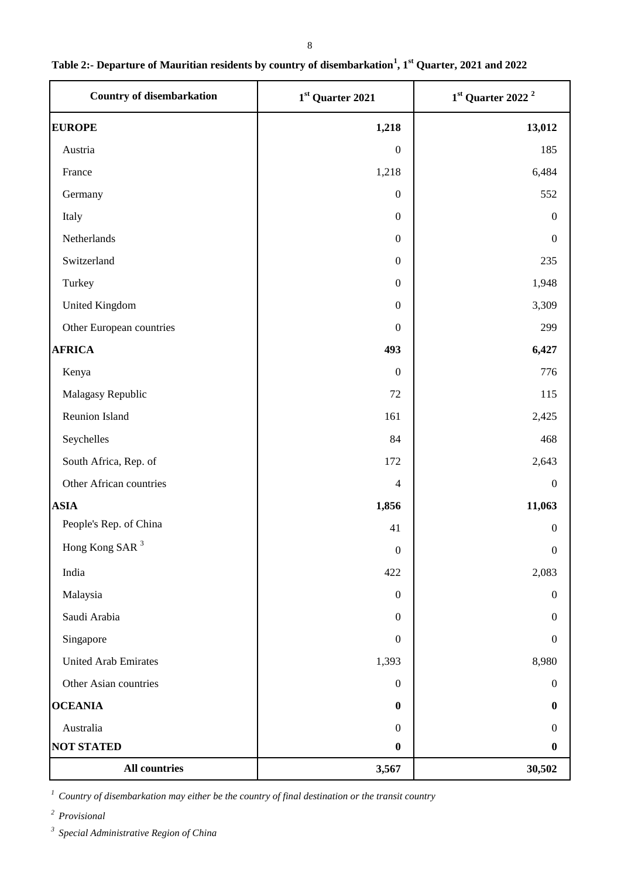| <b>Country of disembarkation</b> | 1st Quarter 2021 | $1st$ Quarter 2022 <sup>2</sup> |  |
|----------------------------------|------------------|---------------------------------|--|
| <b>EUROPE</b>                    | 1,218            | 13,012                          |  |
| Austria                          | $\boldsymbol{0}$ | 185                             |  |
| France                           | 1,218            | 6,484                           |  |
| Germany                          | $\boldsymbol{0}$ | 552                             |  |
| Italy                            | $\boldsymbol{0}$ | $\Omega$                        |  |
| Netherlands                      | $\boldsymbol{0}$ | $\boldsymbol{0}$                |  |
| Switzerland                      | $\boldsymbol{0}$ | 235                             |  |
| Turkey                           | $\boldsymbol{0}$ | 1,948                           |  |
| United Kingdom                   | $\boldsymbol{0}$ | 3,309                           |  |
| Other European countries         | $\boldsymbol{0}$ | 299                             |  |
| <b>AFRICA</b>                    | 493              | 6,427                           |  |
| Kenya                            | $\boldsymbol{0}$ | 776                             |  |
| Malagasy Republic                | $72\,$           | 115                             |  |
| Reunion Island                   | 161              | 2,425                           |  |
| Seychelles                       | 84               | 468                             |  |
| South Africa, Rep. of            | 172              | 2,643                           |  |
| Other African countries          | $\overline{4}$   | $\mathbf{0}$                    |  |
| <b>ASIA</b>                      | 1,856            | 11,063                          |  |
| People's Rep. of China           | 41               | $\Omega$                        |  |
| Hong Kong SAR <sup>3</sup>       | $\boldsymbol{0}$ | $\boldsymbol{0}$                |  |
| India                            | 422              | 2,083                           |  |
| Malaysia                         | $\boldsymbol{0}$ | $\mathbf{0}$                    |  |
| Saudi Arabia                     | $\boldsymbol{0}$ | $\Omega$                        |  |
| Singapore                        | $\boldsymbol{0}$ | $\Omega$                        |  |
| <b>United Arab Emirates</b>      | 1,393            | 8,980                           |  |
| Other Asian countries            | $\boldsymbol{0}$ | $\Omega$                        |  |
| <b>OCEANIA</b>                   | $\boldsymbol{0}$ | 0                               |  |
| Australia                        | $\boldsymbol{0}$ | $\Omega$                        |  |
| <b>NOT STATED</b>                | $\boldsymbol{0}$ | 0                               |  |
| <b>All countries</b>             | 3,567            | 30,502                          |  |

# **Table 2:- Departure of Mauritian residents by country of disembarkation<sup>1</sup> , 1st Quarter, 2021 and 2022**

<sup>1</sup> Country of disembarkation may either be the country of final destination or the transit country

*2 Provisional* 

*3 Special Administrative Region of China*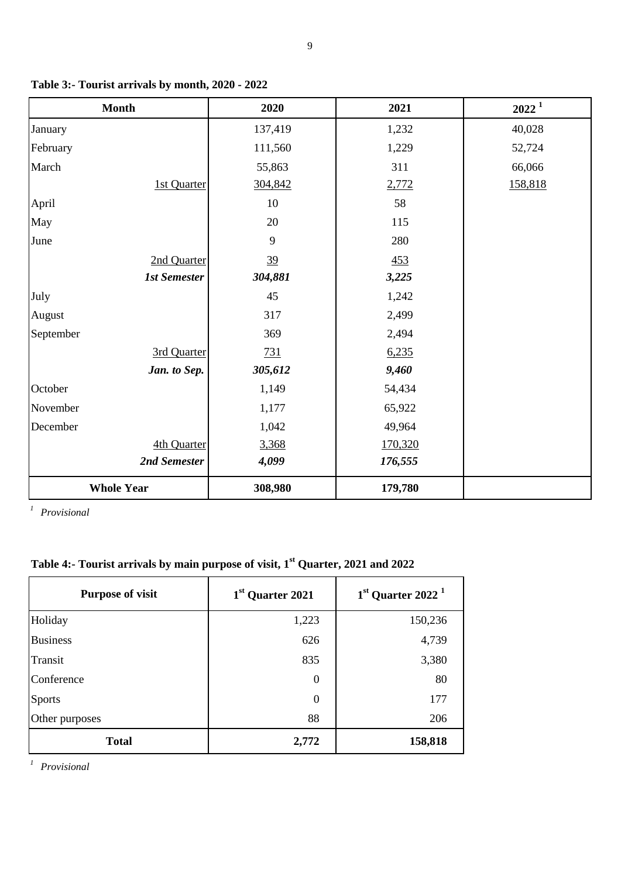| <b>Month</b>        | 2020           | 2021    | $2022^1$ |
|---------------------|----------------|---------|----------|
| January             | 137,419        | 1,232   | 40,028   |
| February            | 111,560        | 1,229   | 52,724   |
| March               | 55,863         | 311     | 66,066   |
| 1st Quarter         | 304,842        | 2,772   | 158,818  |
| April               | 10             | 58      |          |
| May                 | 20             | 115     |          |
| June                | 9              | 280     |          |
| 2nd Quarter         | $\frac{39}{2}$ | 453     |          |
| <b>1st Semester</b> | 304,881        | 3,225   |          |
| July                | 45             | 1,242   |          |
| August              | 317            | 2,499   |          |
| September           | 369            | 2,494   |          |
| 3rd Quarter         | 731            | 6,235   |          |
| Jan. to Sep.        | 305,612        | 9,460   |          |
| October             | 1,149          | 54,434  |          |
| November            | 1,177          | 65,922  |          |
| December            | 1,042          | 49,964  |          |
| 4th Quarter         | 3,368          | 170,320 |          |
| 2nd Semester        | 4,099          | 176,555 |          |
| <b>Whole Year</b>   | 308,980        | 179,780 |          |

**Table 3:- Tourist arrivals by month, 2020 - 2022**

*1 Provisional*

# **Table 4:- Tourist arrivals by main purpose of visit, 1st Quarter, 2021 and 2022**

| <b>Purpose of visit</b> | 1 <sup>st</sup> Quarter 2021 | $1st$ Quarter 2022 <sup>1</sup> |
|-------------------------|------------------------------|---------------------------------|
| Holiday                 | 1,223                        | 150,236                         |
| <b>Business</b>         | 626                          | 4,739                           |
| Transit                 | 835                          | 3,380                           |
| Conference              | $\boldsymbol{0}$             | 80                              |
| <b>Sports</b>           | $\boldsymbol{0}$             | 177                             |
| Other purposes          | 88                           | 206                             |
| <b>Total</b>            | 2,772                        | 158,818                         |

*1 Provisional*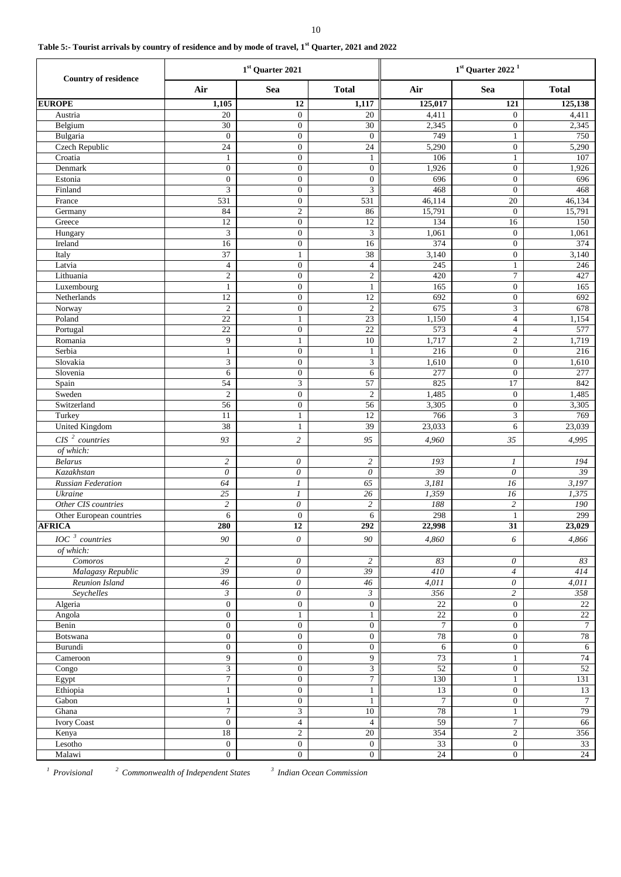| Table 5:- Tourist arrivals by country of residence and by mode of travel, 1 <sup>st</sup> Quarter, 2021 and 2022 |  |  |
|------------------------------------------------------------------------------------------------------------------|--|--|
|------------------------------------------------------------------------------------------------------------------|--|--|

|                             |                              | 1st Quarter 2021                     |                            | $1st$ Quarter 2022 <sup>1</sup> |                                      |                 |  |
|-----------------------------|------------------------------|--------------------------------------|----------------------------|---------------------------------|--------------------------------------|-----------------|--|
| <b>Country of residence</b> | Air                          | <b>Sea</b>                           | <b>Total</b>               | Air                             | Sea                                  | <b>Total</b>    |  |
| <b>EUROPE</b>               | 1,105                        | 12                                   | 1,117                      | 125,017                         | 121                                  | 125,138         |  |
| Austria                     | $20\,$                       | $\boldsymbol{0}$                     | $20\,$                     | 4,411                           | $\boldsymbol{0}$                     | 4,411           |  |
| Belgium                     | 30                           | $\boldsymbol{0}$                     | 30                         | 2,345                           | $\boldsymbol{0}$                     | 2,345           |  |
| Bulgaria                    | $\mathbf{0}$                 | $\boldsymbol{0}$                     | $\boldsymbol{0}$           | 749                             | $\mathbf{1}$                         | 750             |  |
| <b>Czech Republic</b>       | 24                           | $\boldsymbol{0}$                     | 24                         | 5,290                           | $\boldsymbol{0}$                     | 5,290           |  |
| Croatia                     | $\mathbf{1}$                 | $\boldsymbol{0}$                     | $\mathbf{1}$               | 106                             | $\mathbf{1}$                         | 107             |  |
| Denmark                     | $\boldsymbol{0}$             | $\boldsymbol{0}$                     | $\boldsymbol{0}$           | 1,926                           | $\boldsymbol{0}$                     | 1,926           |  |
| Estonia                     | $\boldsymbol{0}$             | $\boldsymbol{0}$                     | $\boldsymbol{0}$           | 696                             | $\boldsymbol{0}$                     | 696             |  |
| Finland                     | 3                            | $\boldsymbol{0}$                     | 3                          | 468                             | $\boldsymbol{0}$                     | 468             |  |
| France                      | 531                          | $\boldsymbol{0}$                     | 531                        | 46,114                          | $20\,$                               | 46,134          |  |
| Germany                     | 84                           | $\mathfrak{2}$                       | 86                         | 15,791                          | $\boldsymbol{0}$                     | 15,791          |  |
| Greece                      | 12                           | $\boldsymbol{0}$                     | $\overline{12}$            | 134                             | 16                                   | 150             |  |
| Hungary                     | 3                            | $\boldsymbol{0}$                     | 3                          | 1,061                           | $\boldsymbol{0}$                     | 1,061           |  |
| Ireland                     | 16                           | $\boldsymbol{0}$                     | 16                         | 374                             | $\boldsymbol{0}$                     | 374             |  |
| Italy                       | 37                           | $\mathbf{1}$                         | 38                         | 3,140                           | $\boldsymbol{0}$                     | 3,140           |  |
| Latvia<br>Lithuania         | $\overline{4}$               | $\boldsymbol{0}$<br>$\boldsymbol{0}$ | $\overline{4}$             | 245<br>420                      | $\mathbf{1}$                         | 246             |  |
| Luxembourg                  | $\mathbf{2}$<br>$\mathbf{1}$ | $\boldsymbol{0}$                     | $\sqrt{2}$<br>$\mathbf{1}$ | 165                             | $\boldsymbol{7}$<br>$\boldsymbol{0}$ | 427<br>165      |  |
| Netherlands                 | 12                           | $\boldsymbol{0}$                     | $\overline{12}$            | 692                             | $\boldsymbol{0}$                     | 692             |  |
| Norway                      | $\sqrt{2}$                   | $\boldsymbol{0}$                     | $\sqrt{2}$                 | 675                             | $\ensuremath{\mathfrak{Z}}$          | 678             |  |
| Poland                      | $22\,$                       | $\mathbf{1}$                         | $\overline{23}$            | 1,150                           | $\overline{4}$                       | 1,154           |  |
| Portugal                    | $\overline{22}$              | $\boldsymbol{0}$                     | $\overline{22}$            | 573                             | $\overline{4}$                       | 577             |  |
| Romania                     | 9                            | $\mathbf{1}$                         | $\overline{10}$            | 1,717                           | $\sqrt{2}$                           | 1,719           |  |
| Serbia                      | $\mathbf{1}$                 | $\boldsymbol{0}$                     | $\mathbf{1}$               | 216                             | $\boldsymbol{0}$                     | 216             |  |
| Slovakia                    | 3                            | $\boldsymbol{0}$                     | $\mathfrak{Z}$             | 1,610                           | $\boldsymbol{0}$                     | 1,610           |  |
| Slovenia                    | 6                            | $\boldsymbol{0}$                     | 6                          | 277                             | $\boldsymbol{0}$                     | 277             |  |
| Spain                       | 54                           | 3                                    | 57                         | 825                             | 17                                   | 842             |  |
| Sweden                      | $\mathbf{2}$                 | $\boldsymbol{0}$                     | $\sqrt{2}$                 | 1,485                           | $\boldsymbol{0}$                     | 1,485           |  |
| Switzerland                 | 56                           | $\boldsymbol{0}$                     | 56                         | 3,305                           | $\boldsymbol{0}$                     | 3,305           |  |
| Turkey                      | 11                           | $\mathbf{1}$                         | $\overline{12}$            | 766                             | 3                                    | 769             |  |
| <b>United Kingdom</b>       | 38                           | $\mathbf{1}$                         | 39                         | 23,033                          | 6                                    | 23,039          |  |
| $CIS2$ countries            | 93                           | $\overline{2}$                       | 95                         | 4,960                           | 35                                   | 4,995           |  |
| of which:                   |                              |                                      |                            |                                 |                                      |                 |  |
| <b>Belarus</b>              | $\overline{c}$               | $\theta$                             | $\overline{c}$             | 193                             | 1                                    | 194             |  |
| Kazakhstan                  | $\theta$                     | $\theta$                             | $\theta$                   | 39                              | $\theta$                             | 39              |  |
| Russian Federation          | 64                           | $\boldsymbol{l}$                     | 65                         | 3,181                           | 16                                   | 3,197           |  |
| Ukraine                     | $25\,$                       | $\mathcal{I}$                        | 26                         | 1,359                           | 16                                   | 1,375           |  |
| Other CIS countries         | $\overline{c}$               | $\boldsymbol{\mathit{0}}$            | $\overline{c}$             | 188                             | $\overline{\mathbf{c}}$              | $\it 190$       |  |
| Other European countries    | 6                            | $\boldsymbol{0}$                     | 6                          | 298                             | $\mathbf{1}$                         | 299             |  |
| <b>AFRICA</b>               | 280                          | $\overline{12}$                      | $\overline{292}$           | 22,998                          | 31                                   | 23,029          |  |
| $IOC^3$ countries           | $90\,$                       | $\boldsymbol{o}$                     | 90                         | 4,860                           | 6                                    | 4,866           |  |
| of which:                   |                              |                                      |                            |                                 |                                      |                 |  |
| Comoros                     | $\overline{c}$               | 0                                    | $\sqrt{2}$                 | 83                              | $\boldsymbol{\theta}$                | 83              |  |
| Malagasy Republic           | 39                           | $\theta$                             | $\overline{39}$            | 410                             | $\overline{4}$                       | 414             |  |
| Reunion Island              | 46                           | 0                                    | $\sqrt{46}$                | 4,011                           | $\boldsymbol{\theta}$                | 4,011           |  |
| Seychelles                  | $\mathfrak{Z}$               | $\theta$                             | $\mathfrak{Z}$             | 356                             | $\overline{c}$                       | 358             |  |
| Algeria                     | $\mathbf{0}$                 | $\boldsymbol{0}$                     | $\boldsymbol{0}$           | $\overline{22}$                 | $\boldsymbol{0}$                     | $22\,$          |  |
| Angola                      | $\boldsymbol{0}$             | $\mathbf{1}$                         | $\mathbf{1}$               | $22\,$                          | $\boldsymbol{0}$                     | $\overline{22}$ |  |
| Benin                       | $\mathbf{0}$                 | $\boldsymbol{0}$                     | $\boldsymbol{0}$           | $\tau$                          | $\boldsymbol{0}$                     | $\overline{7}$  |  |
| Botswana                    | $\mathbf{0}$                 | $\mathbf{0}$                         | $\boldsymbol{0}$           | 78                              | $\boldsymbol{0}$                     | $78\,$          |  |
| Burundi                     | $\mathbf{0}$                 | $\boldsymbol{0}$                     | $\boldsymbol{0}$           | 6                               | $\boldsymbol{0}$                     | 6               |  |
| Cameroon                    | 9                            | $\boldsymbol{0}$                     | 9                          | 73                              | $\,1$                                | 74              |  |
| Congo                       | 3                            | $\boldsymbol{0}$                     | $\mathfrak{Z}$             | $\overline{52}$                 | $\overline{0}$                       | $\overline{52}$ |  |
| Egypt                       | $\overline{7}$               | $\boldsymbol{0}$                     | $\overline{7}$             | 130                             | $\mathbf{1}$                         | 131             |  |
| Ethiopia                    | $\mathbf{1}$                 | $\boldsymbol{0}$                     | $\mathbf{1}$               | 13                              | $\boldsymbol{0}$                     | 13              |  |
| Gabon                       | $\mathbf{1}$                 | $\boldsymbol{0}$                     | $\mathbf{1}$               | $\boldsymbol{7}$                | $\boldsymbol{0}$                     | $7\phantom{.0}$ |  |
| Ghana                       | $\overline{7}$               | $\mathfrak{Z}$                       | $\overline{10}$            | 78                              | $\,1$                                | 79              |  |
| <b>Ivory Coast</b>          | $\mathbf{0}$                 | $\overline{4}$                       | $\overline{4}$             | 59                              | $\overline{7}$                       | 66              |  |
| Kenya                       | 18                           | $\boldsymbol{2}$                     | $\overline{20}$            | 354                             | $\sqrt{2}$                           | 356             |  |
| Lesotho                     | $\mathbf{0}$                 | $\boldsymbol{0}$                     | $\mathbf{0}$               | $\overline{33}$                 | $\boldsymbol{0}$                     | 33              |  |
| Malawi                      | $\boldsymbol{0}$             | $\overline{0}$                       | $\boldsymbol{0}$           | $\overline{24}$                 | $\overline{0}$                       | 24              |  |

10

*1 Provisional <sup>2</sup>*

 *Commonwealth of Independent States <sup>3</sup>*

 *Indian Ocean Commission*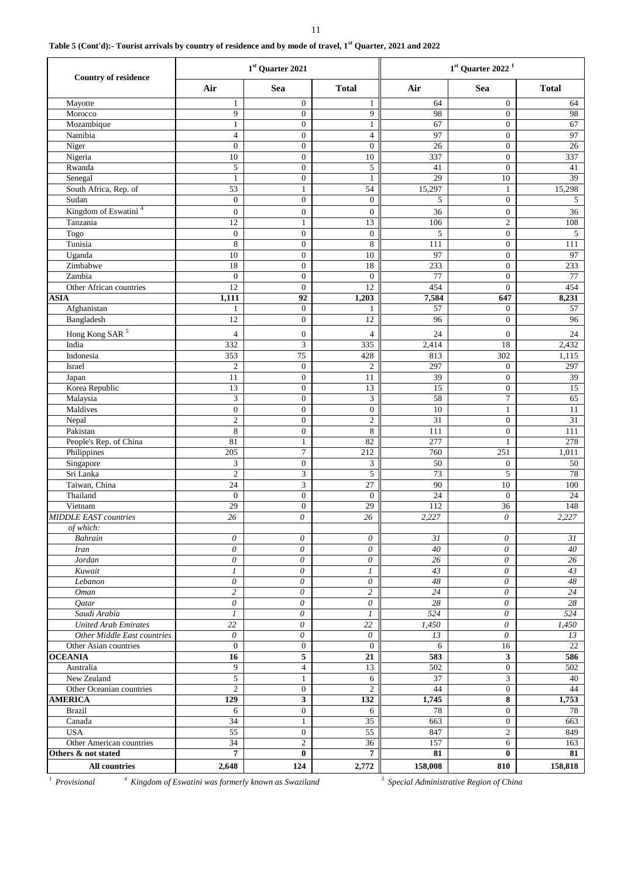### 11

# **Table 5 (Cont'd):- Tourist arrivals by country of residence and by mode of travel, 1st Quarter, 2021 and 2022**

| <b>Country of residence</b>             |                           | 1st Quarter 2021             |                              | $1st$ Quarter 2022 <sup>1</sup> |                         |              |
|-----------------------------------------|---------------------------|------------------------------|------------------------------|---------------------------------|-------------------------|--------------|
|                                         | Air                       | Sea                          | <b>Total</b>                 | Air                             | Sea                     | <b>Total</b> |
| Mayotte                                 | $\mathbf{1}$              | $\overline{0}$               | $\mathbf{1}$                 | 64                              | $\boldsymbol{0}$        | 64           |
| Morocco                                 | 9                         | $\overline{0}$               | 9                            | 98                              | $\overline{0}$          | 98           |
| Mozambique                              | $\mathbf{1}$              | $\overline{0}$               | $\mathbf{1}$                 | 67                              | $\boldsymbol{0}$        | 67           |
| Namibia                                 | $\overline{4}$            | $\overline{0}$               | $\overline{4}$               | 97                              | $\boldsymbol{0}$        | 97           |
| Niger                                   | $\boldsymbol{0}$          | $\overline{0}$               | $\boldsymbol{0}$             | 26                              | $\boldsymbol{0}$        | 26           |
| Nigeria                                 | 10                        | $\boldsymbol{0}$             | 10                           | 337                             | $\boldsymbol{0}$        | 337          |
| Rwanda<br>Senegal                       | 5<br>$\mathbf{1}$         | $\mathbf{0}$<br>$\mathbf{0}$ | 5<br>$\mathbf{1}$            | 41<br>29                        | $\boldsymbol{0}$<br>10  | 41<br>39     |
| South Africa, Rep. of                   | 53                        | $\mathbf{1}$                 | 54                           | 15,297                          | $\mathbf{1}$            | 15,298       |
| Sudan                                   | $\boldsymbol{0}$          | $\mathbf{0}$                 | $\boldsymbol{0}$             | 5                               | $\boldsymbol{0}$        | 5            |
| Kingdom of Eswatini <sup>4</sup>        | $\mathbf{0}$              | $\overline{0}$               | $\boldsymbol{0}$             | 36                              | $\boldsymbol{0}$        | 36           |
| Tanzania                                | 12                        | $\mathbf{1}$                 | 13                           | 106                             | $\sqrt{2}$              | 108          |
| Togo                                    | $\boldsymbol{0}$          | $\boldsymbol{0}$             | $\boldsymbol{0}$             | 5                               | $\boldsymbol{0}$        | 5            |
| Tunisia                                 | 8                         | $\boldsymbol{0}$             | 8                            | 111                             | $\boldsymbol{0}$        | 111          |
| Uganda                                  | 10                        | $\overline{0}$               | 10                           | 97                              | $\boldsymbol{0}$        | 97           |
| Zimbabwe                                | 18                        | $\mathbf{0}$                 | 18                           | 233                             | $\boldsymbol{0}$        | 233          |
| Zambia                                  | $\boldsymbol{0}$          | $\overline{0}$               | $\overline{0}$               | 77                              | $\overline{0}$          | 77           |
| Other African countries                 | 12                        | $\mathbf{0}$                 | 12                           | 454                             | $\boldsymbol{0}$        | 454          |
| <b>ASIA</b>                             | 1,111                     | 92                           | 1,203                        | 7,584                           | 647                     | 8,231        |
| Afghanistan                             | 1                         | $\overline{0}$               | 1                            | 57                              | $\boldsymbol{0}$        | 57           |
| Bangladesh                              | 12                        | $\overline{0}$               | 12                           | 96                              | $\boldsymbol{0}$        | 96           |
| Hong Kong SAR <sup>5</sup>              | $\overline{4}$            | $\mathbf{0}$                 | $\overline{4}$               | 24                              | $\boldsymbol{0}$        | 24           |
| India                                   | 332                       | $\overline{\mathbf{3}}$      | 335                          | 2,414                           | 18                      | 2,432        |
| Indonesia                               | 353                       | 75                           | 428                          | 813                             | 302                     | 1,115        |
| Israel                                  | $\mathfrak{2}$            | $\mathbf{0}$                 | $\overline{2}$               | 297                             | $\boldsymbol{0}$        | 297          |
| Japan                                   | $\overline{11}$           | $\boldsymbol{0}$             | $11\,$                       | 39                              | $\boldsymbol{0}$        | 39           |
| Korea Republic                          | $\overline{13}$           | $\overline{0}$               | $\overline{13}$              | 15                              | $\boldsymbol{0}$        | 15           |
| Malaysia                                | 3                         | $\overline{0}$               | $\ensuremath{\mathfrak{Z}}$  | 58                              | $\overline{7}$          | 65           |
| Maldives                                | $\boldsymbol{0}$          | $\mathbf{0}$                 | $\boldsymbol{0}$             | 10                              | $\mathbf{1}$            | 11           |
| Nepal                                   | $\sqrt{2}$                | $\overline{0}$               | $\overline{c}$               | 31                              | $\overline{0}$          | 31           |
| Pakistan                                | $\,$ 8 $\,$               | $\mathbf{0}$                 | $\,$ 8 $\,$                  | 111                             | $\boldsymbol{0}$        | 111          |
| People's Rep. of China                  | 81                        | $\mathbf{1}$                 | 82                           | 277                             | $\mathbf{1}$            | 278          |
| Philippines                             | 205                       | $\tau$<br>$\boldsymbol{0}$   | 212                          | 760                             | 251<br>$\boldsymbol{0}$ | 1,011        |
| Singapore<br>Sri Lanka                  | 3<br>$\sqrt{2}$           | 3                            | $\mathfrak{Z}$<br>$\sqrt{5}$ | 50<br>73                        | 5                       | 50<br>78     |
| Taiwan, China                           | 24                        | $\mathfrak{Z}$               | $27\,$                       | 90                              | 10                      | 100          |
| Thailand                                | $\overline{0}$            | $\mathbf{0}$                 | $\overline{0}$               | 24                              | $\overline{0}$          | 24           |
| Vietnam                                 | 29                        | $\mathbf{0}$                 | 29                           | 112                             | 36                      | 148          |
| <b>MIDDLE EAST countries</b>            | 26                        | 0                            | 26                           | 2,227                           | $\theta$                | 2,227        |
| of which:                               |                           |                              |                              |                                 |                         |              |
| Bahrain                                 | 0                         | 0                            | $\theta$                     | 31                              | 0                       | 31           |
| <b>Iran</b>                             | 0                         | $\theta$                     | $\theta$                     | 40                              | $\theta$                | 40           |
| Jordan                                  | $\theta$                  | $\theta$                     | $\boldsymbol{\theta}$        | 26                              | $\theta$                | 26           |
| Kuwait                                  | $\boldsymbol{l}$          | $\theta$                     | $\boldsymbol{l}$             | 43                              | $\theta$                | 43           |
| Lebanon                                 | $\boldsymbol{\mathit{0}}$ | $\theta$                     | $\boldsymbol{\mathit{0}}$    | $\sqrt{48}$                     | 0                       | 48           |
| <b>Oman</b>                             | $\overline{c}$            | $\theta$                     | $\overline{c}$               | 24                              | $\theta$                | 24           |
| Qatar                                   | $\theta$                  | 0                            | $\theta$                     | 28                              | 0                       | 28           |
| Saudi Arabia                            | $\boldsymbol{l}$          | 0                            | $\boldsymbol{l}$             | 524                             | $\theta$                | 524          |
| <b>United Arab Emirates</b>             | 22                        | 0                            | 22                           | 1,450                           | 0                       | 1,450        |
| Other Middle East countries             | 0<br>$\mathbf{0}$         | 0<br>$\mathbf{0}$            | 0<br>$\overline{0}$          | 13                              | 0                       | 13           |
| Other Asian countries<br><b>OCEANIA</b> | 16                        | 5                            | 21                           | 6<br>583                        | 16<br>$\mathbf{3}$      | 22<br>586    |
| Australia                               | 9                         | $\overline{4}$               | 13                           | 502                             | $\boldsymbol{0}$        | 502          |
| New Zealand                             | 5                         | $\mathbf{1}$                 | 6                            | 37                              | 3                       | 40           |
| Other Oceanian countries                | $\overline{2}$            | $\overline{0}$               | $\overline{2}$               | 44                              | $\overline{0}$          | 44           |
| <b>AMERICA</b>                          | 129                       | $\mathbf{3}$                 | 132                          | 1,745                           | 8                       | 1,753        |
| <b>Brazil</b>                           | 6                         | $\mathbf{0}$                 | 6                            | 78                              | $\boldsymbol{0}$        | 78           |
| Canada                                  | 34                        | $\mathbf{1}$                 | $\overline{35}$              | 663                             | $\boldsymbol{0}$        | 663          |
| <b>USA</b>                              | 55                        | $\overline{0}$               | 55                           | 847                             | $\sqrt{2}$              | 849          |
| Other American countries                | 34                        | $\overline{c}$               | 36                           | 157                             | 6                       | 163          |
| Others & not stated                     | $\overline{7}$            | $\bf{0}$                     | $\overline{7}$               | 81                              | $\bf{0}$                | 81           |
| All countries                           | 2,648                     | 124                          | 2,772                        | 158,008                         | 810                     | 158,818      |

*1 Provisional <sup>4</sup>*

 *Kingdom of Eswatini was formerly known as Swaziland <sup>5</sup>*

 *Special Administrative Region of China*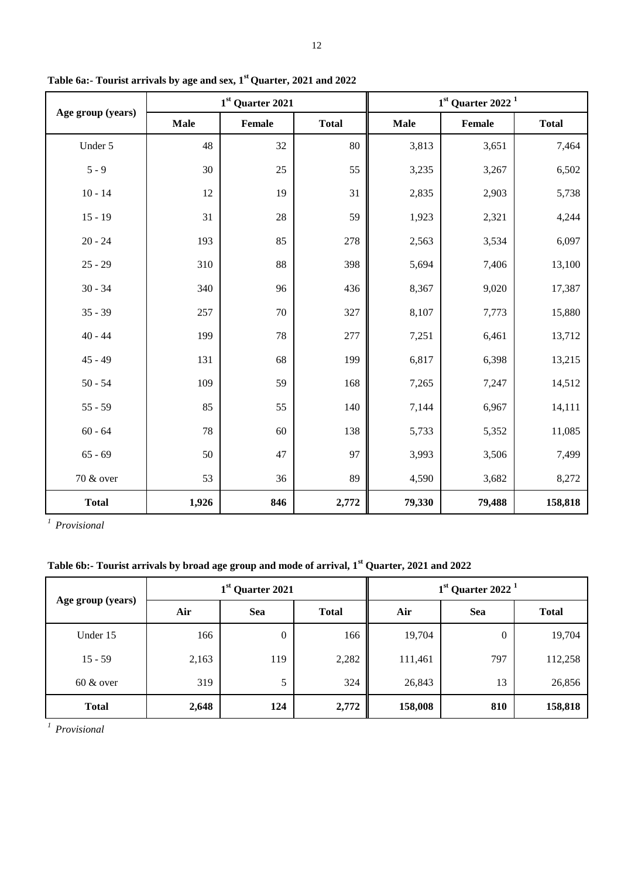|                   |             | 1st Quarter 2021 |              | $1st$ Quarter 2022 <sup>1</sup> |        |              |
|-------------------|-------------|------------------|--------------|---------------------------------|--------|--------------|
| Age group (years) | <b>Male</b> | Female           | <b>Total</b> | <b>Male</b>                     | Female | <b>Total</b> |
| Under 5           | 48          | 32               | 80           | 3,813                           | 3,651  | 7,464        |
| $5 - 9$           | 30          | 25               | 55           | 3,235                           | 3,267  | 6,502        |
| $10 - 14$         | 12          | 19               | 31           | 2,835                           | 2,903  | 5,738        |
| $15 - 19$         | 31          | 28               | 59           | 1,923                           | 2,321  | 4,244        |
| $20 - 24$         | 193         | 85               | 278          | 2,563                           | 3,534  | 6,097        |
| $25 - 29$         | 310         | 88               | 398          | 5,694                           | 7,406  | 13,100       |
| $30 - 34$         | 340         | 96               | 436          | 8,367                           | 9,020  | 17,387       |
| $35 - 39$         | 257         | 70               | 327          | 8,107                           | 7,773  | 15,880       |
| $40 - 44$         | 199         | 78               | 277          | 7,251                           | 6,461  | 13,712       |
| $45 - 49$         | 131         | 68               | 199          | 6,817                           | 6,398  | 13,215       |
| $50 - 54$         | 109         | 59               | 168          | 7,265                           | 7,247  | 14,512       |
| $55 - 59$         | 85          | 55               | 140          | 7,144                           | 6,967  | 14,111       |
| $60 - 64$         | 78          | 60               | 138          | 5,733                           | 5,352  | 11,085       |
| $65 - 69$         | 50          | 47               | 97           | 3,993                           | 3,506  | 7,499        |
| 70 & over         | 53          | 36               | 89           | 4,590                           | 3,682  | 8,272        |
| <b>Total</b>      | 1,926       | 846              | 2,772        | 79,330                          | 79,488 | 158,818      |

**Table 6a:- Tourist arrivals by age and sex, 1st Quarter, 2021 and 2022**

*1 Provisional*

**Table 6b:- Tourist arrivals by broad age group and mode of arrival, 1st Quarter, 2021 and 2022**

|                   | 1 <sup>st</sup> Quarter 2021 |                  |              | $1st$ Quarter 2022 <sup>1</sup> |          |              |
|-------------------|------------------------------|------------------|--------------|---------------------------------|----------|--------------|
| Age group (years) | Air                          | <b>Sea</b>       | <b>Total</b> | Air                             | Sea      | <b>Total</b> |
| Under 15          | 166                          | $\boldsymbol{0}$ | 166          | 19,704                          | $\theta$ | 19,704       |
| $15 - 59$         | 2,163                        | 119              | 2,282        | 111,461                         | 797      | 112,258      |
| $60 \& over$      | 319                          | 5                | 324          | 26,843                          | 13       | 26,856       |
| <b>Total</b>      | 2,648                        | 124              | 2,772        | 158,008                         | 810      | 158,818      |

*1 Provisional*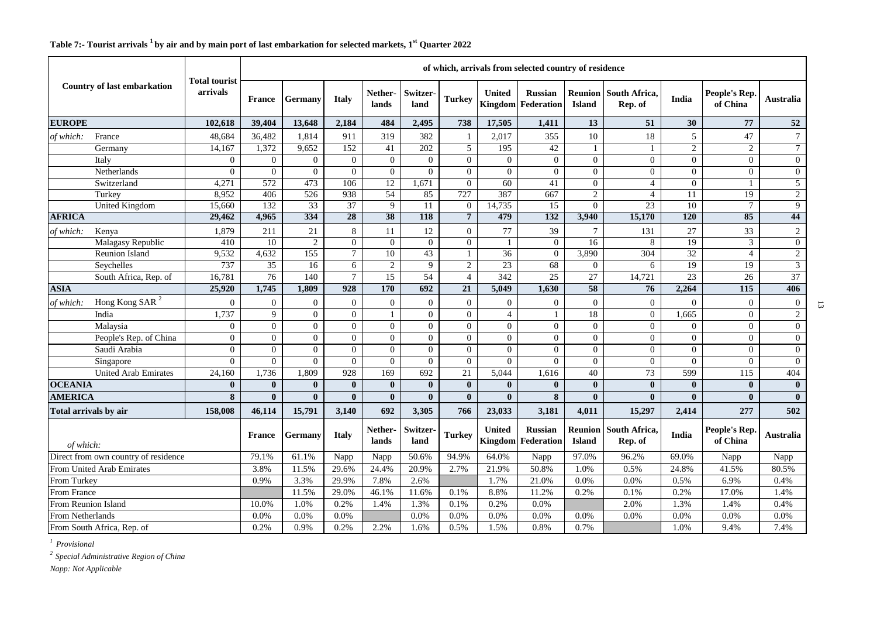### **France Germany Italy Netherlands Switzerland Turkey United Kingdom Federation Russian Reunion Island South Africa, Rep. of India People's Rep. of China Australia EUROPE** 102,618 39,404 13,648 2,184 484 2,495 738 17,505 1,411 13 51 30 77 52 *of which:* France 1 48,684 36,482 1,814 911 319 382 1 2,017 355 10 18 5 47 7 Germany 14,167 1,372 9,652 152 41 202 5 195 42 1 1 1 2 2 2 Italy 0 0 0 0 0 0 0 0 0 0 0 0 0 0 Netherlands 0 0 0 0 0 0 0 0 0 0 0 0 0 0 Switzerland | 4,271 | 572 | 473 | 106 | 12 | 1,671 | 0 | 60 | 41 | 0 | 4 | 0 | 1 | 5 Turkey 8,952 406 526 938 54 85 727 387 667 2 4 11 19 2 United Kingdom | 15,660 | 132 | 33 | 37 | 9 | 11 | 0 | 14,735 | 15 | 0 | 23 | 10 | 7 | 9 **AFRICA 29,462 4,965 334 28 38 118 7 479 132 3,940 15,170 120 85 44**  *of which:* Kenya 1,879 211 21 8 11 12 0 77 39 7 131 27 33 2 Malagasy Republic | 410 | 10 | 2 | 0 | 0 | 0 | 0 | 1 | 0 | 16 | 8 | 19 | 3 | 0 Reunion Island | 9,532 | 4,632 | 155 | 7 | 10 | 43 | 1 | 36 | 0 | 3,890 | 304 | 32 | 4 | 2 Seychelles | 737 | 35 | 16 | 6 | 2 | 9 | 2 | 23 | 68 | 0 | 6 | 19 | 19 | 3 South Africa, Rep. of | 16,781 | 76 | 140 | 7 | 15 | 54 | 4 | 342 | 25 | 27 | 14,721 | 23 | 26 | 37 **ASIA 25,920 1,745 1,809 928 170 692 21 5,049 1,630 58 76 2,264 115 406**  *of which:* Hong Kong SAR <sup>2</sup> 0 0 0 0 0 0 0 0 0 0 0 0 0 0 India 1,737 | 9 | 0 | 0 | 1 | 0 | 0 | 4 | 1 | 18 | 0 | 1,665 | 0 | 2 Malaysia 0 0 0 0 0 0 0 0 0 0 0 0 0 0 People's Rep. of China 0 0 0 0 0 0 0 0 0 0 0 0 0 0 Saudi Arabia 0 0 0 0 0 0 0 0 0 0 0 0 0 0 Singapore 0 0 0 0 0 0 0 0 0 0 0 0 0 0 United Arab Emirates | 24,160 | 1,736 | 1,809 | 928 | 169 | 692 | 21 | 5,044 | 1,616 | 40 | 73 | 599 | 115 | 404 **OCEANIA 0 0 0 0 0 0 0 0 0 0 0 0 0 0 AMERICA 8 0 0 0 0 0 0 0 8 0 0 0 0 0 Total arrivals by air 158,008 46,114 15,791 3,140 692 3,305 766 23,033 3,181 4,011 15,297 2,414 277 502**  *of which:* **France** Germany **Italy** Nether**lands Switzerland Turkey United Kingdom Russian Federation Reunion Island South Africa, Rep. of India People's Rep. of China Australia** Direct from own country of residence 79.1% 61.1% Napp Napp 50.6% 94.9% 64.0% Napp 97.0% 96.2% 69.0% Napp Napp From United Arab Emirates 3.8% 11.5% 29.6% 24.4% 20.9% 2.7% 21.9% 50.8% 1.0% 0.5% 24.8% 41.5% 80.5% From Turkey 0.9% 3.3% 29.9% 7.8% 2.6% 1.7% 21.0% 0.0% 0.0% 0.5% 6.9% 0.4% From France 20.0% 11.5% 29.0% 46.1% 11.6% 0.1% 8.8% 11.2% 0.2% 0.1% 0.2% 17.0% 17.0% 1.4% From Reunion Island 10.0% 1.0% 1.0% 1.0% 1.2% 1.4% 1.3% 0.1% 0.2% 0.0% 1.0% 2.0% 1.3% 1.3% 1.4% 0.4% **Country of last embarkation Total tourist arrivals of which, arrivals from selected country of residence**

From Netherlands 0.0% 0.0% 0.0% 0.0% 0.0% 0.0% 0.0% 0.0% 0.0% 0.0% 0.0% 0.0% From South Africa, Rep. of 2.9% 0.2% 0.2% 0.2% 2.2% 1.6% 0.5% 1.5% 0.8% 0.7% 1.0% 1.0% 9.4% 7.4%

# **Table 7:- Tourist arrivals <sup>1</sup>by air and by main port of last embarkation for selected markets, 1st Quarter 2022**

*1 Provisional*

*<sup>2</sup>Special Administrative Region of China*

*Napp: Not Applicable*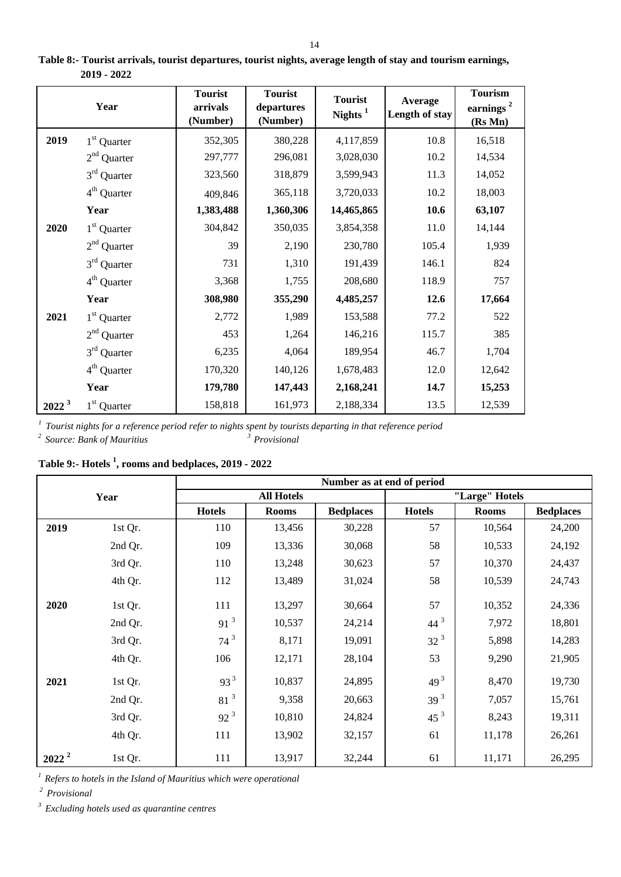|                   | Year                    | <b>Tourist</b><br>arrivals<br>(Number) | <b>Tourist</b><br>departures<br>(Number) | <b>Tourist</b><br>Nights $1$ | Average<br>Length of stay | <b>Tourism</b><br>earnings <sup>2</sup><br>(Rs Mn) |
|-------------------|-------------------------|----------------------------------------|------------------------------------------|------------------------------|---------------------------|----------------------------------------------------|
| 2019              | 1 <sup>st</sup> Quarter | 352,305                                | 380,228                                  | 4,117,859                    | 10.8                      | 16,518                                             |
|                   | $2nd$ Quarter           | 297,777                                | 296,081                                  | 3,028,030                    | 10.2                      | 14,534                                             |
|                   | $3rd$ Quarter           | 323,560                                | 318,879                                  | 3,599,943                    | 11.3                      | 14,052                                             |
|                   | 4 <sup>th</sup> Quarter | 409,846                                | 365,118                                  | 3,720,033                    | 10.2                      | 18,003                                             |
|                   | Year                    | 1,383,488                              | 1,360,306                                | 14,465,865                   | 10.6                      | 63,107                                             |
| 2020              | $1st$ Quarter           | 304,842                                | 350,035                                  | 3,854,358                    | 11.0                      | 14,144                                             |
|                   | $2nd$ Quarter           | 39                                     | 2,190                                    | 230,780                      | 105.4                     | 1,939                                              |
|                   | $3rd$ Quarter           | 731                                    | 1,310                                    | 191,439                      | 146.1                     | 824                                                |
|                   | $4th$ Quarter           | 3,368                                  | 1,755                                    | 208,680                      | 118.9                     | 757                                                |
|                   | Year                    | 308,980                                | 355,290                                  | 4,485,257                    | 12.6                      | 17,664                                             |
| 2021              | $1st$ Quarter           | 2,772                                  | 1,989                                    | 153,588                      | 77.2                      | 522                                                |
|                   | $2nd$ Quarter           | 453                                    | 1,264                                    | 146,216                      | 115.7                     | 385                                                |
|                   | $3rd$ Quarter           | 6,235                                  | 4,064                                    | 189,954                      | 46.7                      | 1,704                                              |
|                   | $4th$ Quarter           | 170,320                                | 140,126                                  | 1,678,483                    | 12.0                      | 12,642                                             |
|                   | Year                    | 179,780                                | 147,443                                  | 2,168,241                    | 14.7                      | 15,253                                             |
| 2022 <sup>3</sup> | 1 <sup>st</sup> Quarter | 158,818                                | 161,973                                  | 2,188,334                    | 13.5                      | 12,539                                             |

**Table 8:- Tourist arrivals, tourist departures, tourist nights, average length of stay and tourism earnings, 2019 - 2022**

*1 Tourist nights for a reference period refer to nights spent by tourists departing in that reference period* <sup>2</sup> Source: Bank of Mauritius *<sup>3</sup>* Provisional

**Table 9:- Hotels <sup>1</sup> , rooms and bedplaces, 2019 - 2022**

| Year     |         | Number as at end of period |                   |                  |                 |              |                  |  |  |  |
|----------|---------|----------------------------|-------------------|------------------|-----------------|--------------|------------------|--|--|--|
|          |         |                            | <b>All Hotels</b> |                  | "Large" Hotels  |              |                  |  |  |  |
|          |         | <b>Hotels</b>              | <b>Rooms</b>      | <b>Bedplaces</b> | <b>Hotels</b>   | <b>Rooms</b> | <b>Bedplaces</b> |  |  |  |
| 2019     | 1st Qr. | 110                        | 13,456            | 30,228           | 57              | 10,564       | 24,200           |  |  |  |
|          | 2nd Qr. | 109                        | 13,336            | 30,068           | 58              | 10,533       | 24,192           |  |  |  |
|          | 3rd Qr. | 110                        | 13,248            | 30,623           | 57              | 10,370       | 24,437           |  |  |  |
|          | 4th Qr. | 112                        | 13,489            | 31,024           | 58              | 10,539       | 24,743           |  |  |  |
| 2020     | 1st Qr. | 111                        | 13,297            | 30,664           | 57              | 10,352       | 24,336           |  |  |  |
|          | 2nd Qr. | 91 <sup>3</sup>            | 10,537            | 24,214           | $44^{3}$        | 7,972        | 18,801           |  |  |  |
|          | 3rd Qr. | $74^3$                     | 8,171             | 19,091           | 32 <sup>3</sup> | 5,898        | 14,283           |  |  |  |
|          | 4th Qr. | 106                        | 12,171            | 28,104           | 53              | 9,290        | 21,905           |  |  |  |
| 2021     | 1st Qr. | $93^3$                     | 10,837            | 24,895           | $49^{3}$        | 8,470        | 19,730           |  |  |  |
|          | 2nd Qr. | 81 <sup>3</sup>            | 9,358             | 20,663           | 39 <sup>3</sup> | 7,057        | 15,761           |  |  |  |
|          | 3rd Qr. | $92^{3}$                   | 10,810            | 24,824           | 45 <sup>3</sup> | 8,243        | 19,311           |  |  |  |
|          | 4th Qr. | 111                        | 13,902            | 32,157           | 61              | 11,178       | 26,261           |  |  |  |
| $2022^2$ | 1st Qr. | 111                        | 13,917            | 32,244           | 61              | 11,171       | 26,295           |  |  |  |

<sup>1</sup> Refers to hotels in the Island of Mauritius which were operational

*<sup>2</sup> Provisional*

*3 Excluding hotels used as quarantine centres*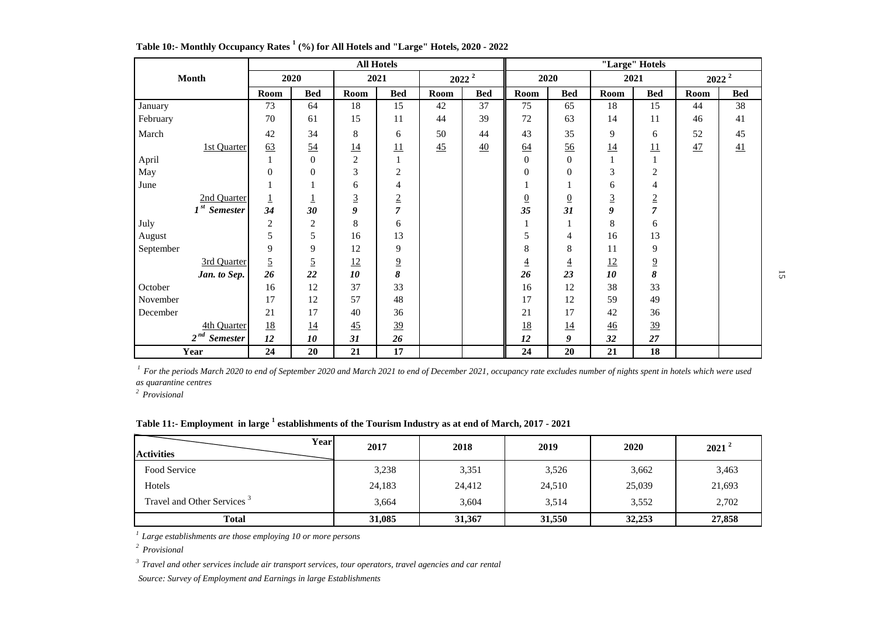|                             | <b>All Hotels</b> |                |                |                |          | "Large" Hotels |                  |                  |             |                 |          |            |
|-----------------------------|-------------------|----------------|----------------|----------------|----------|----------------|------------------|------------------|-------------|-----------------|----------|------------|
| <b>Month</b>                | 2020              |                | 2021           |                | $2022^2$ |                | 2020             |                  | 2021        |                 | $2022^2$ |            |
|                             | Room              | <b>Bed</b>     | Room           | <b>Bed</b>     | Room     | <b>Bed</b>     | Room             | <b>Bed</b>       | Room        | <b>Bed</b>      | Room     | <b>Bed</b> |
| January                     | 73                | 64             | 18             | 15             | 42       | 37             | 75               | 65               | 18          | 15              | 44       | 38         |
| February                    | 70                | 61             | 15             | 11             | 44       | 39             | 72               | 63               | 14          | 11              | 46       | 41         |
| March                       | 42                | 34             | 8              | 6              | 50       | 44             | 43               | 35               | 9           | 6               | 52       | 45         |
| <b>1st Quarter</b>          | 63                | 54             | <u>14</u>      | 11             | 45       | 40             | 64               | 56               | <u>14</u>   | $\overline{11}$ | 47       | 41         |
| April                       |                   | $\overline{0}$ | $\sqrt{2}$     | $\mathbf{1}$   |          |                | $\boldsymbol{0}$ | $\boldsymbol{0}$ |             | $\mathbf{1}$    |          |            |
| May                         | $\overline{0}$    | $\overline{0}$ | $\mathfrak{Z}$ | 2              |          |                | $\theta$         | $\theta$         | 3           | 2               |          |            |
| June                        |                   |                | 6              | 4              |          |                |                  |                  | 6           | 4               |          |            |
| 2nd Quarter                 |                   | Ŧ              | $\overline{3}$ | $\sqrt{2}$     |          |                | $\overline{0}$   | $\overline{0}$   | $\mathbf 3$ | $\overline{2}$  |          |            |
| $1st$ Semester              | 34                | 30             | 9              | $\overline{7}$ |          |                | 35               | 31               | 9           | $\overline{7}$  |          |            |
| July                        | $\overline{c}$    | $\overline{2}$ | $\,8\,$        | 6              |          |                |                  |                  | 8           | 6               |          |            |
| August                      | 5                 | 5              | 16             | 13             |          |                | 5                | 4                | 16          | 13              |          |            |
| September                   | 9                 | 9              | 12             | 9              |          |                | 8                | 8                | 11          | 9               |          |            |
| 3rd Quarter                 | $\overline{5}$    | $\overline{5}$ | <u>12</u>      | $\overline{9}$ |          |                | $\overline{4}$   | $\overline{4}$   | <u>12</u>   | $\overline{9}$  |          |            |
| Jan. to Sep.                | 26                | 22             | 10             | 8              |          |                | 26               | 23               | 10          | 8               |          |            |
| October                     | 16                | 12             | 37             | 33             |          |                | 16               | 12               | 38          | 33              |          |            |
| November                    | 17                | 12             | 57             | 48             |          |                | 17               | 12               | 59          | 49              |          |            |
| December                    | 21                | 17             | 40             | 36             |          |                | 21               | 17               | 42          | 36              |          |            |
| 4th Quarter                 | <u>18</u>         | <u>14</u>      | 45             | 39             |          |                | <u>18</u>        | <u>14</u>        | 46          | 39              |          |            |
| $2^{nd}$<br><b>Semester</b> | 12                | 10             | 31             | 26             |          |                | 12               | 9                | 32          | 27              |          |            |
| Year                        | 24                | 20             | 21             | 17             |          |                | 24               | 20               | 21          | 18              |          |            |

**Table 10:- Monthly Occupancy Rates <sup>1</sup> (%) for All Hotels and "Large" Hotels, 2020 - 2022**

<sup>1</sup> For the periods March 2020 to end of September 2020 and March 2021 to end of December 2021, occupancy rate excludes number of nights spent in hotels which were used *as quarantine centres*

*2 Provisional*

### **Table 11:- Employment in large <sup>1</sup> establishments of the Tourism Industry as at end of March, 2017 - 2021**

| Yearl<br><b>Activities</b>             | 2017   | 2018   | 2019   | 2020   | $2021^2$ |
|----------------------------------------|--------|--------|--------|--------|----------|
| Food Service                           | 3,238  | 3,351  | 3,526  | 3,662  | 3,463    |
| Hotels                                 | 24,183 | 24,412 | 24,510 | 25,039 | 21,693   |
| Travel and Other Services <sup>3</sup> | 3,664  | 3,604  | 3,514  | 3,552  | 2,702    |
| <b>Total</b>                           | 31,085 | 31,367 | 31,550 | 32,253 | 27,858   |

*<sup>1</sup>Large establishments are those employing 10 or more persons*

*2 Provisional*

*<sup>3</sup>Travel and other services include air transport services, tour operators, travel agencies and car rental*

 *Source: Survey of Employment and Earnings in large Establishments*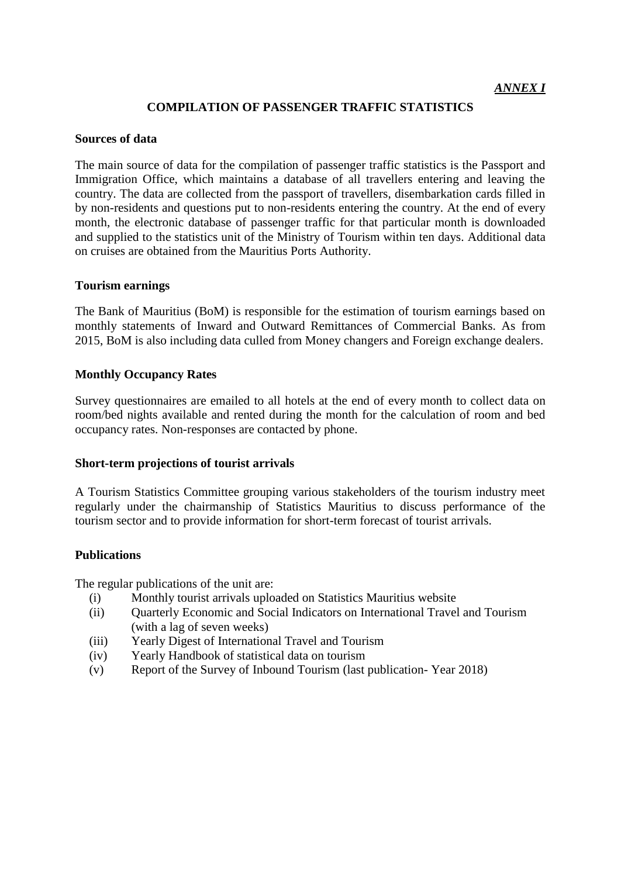# **COMPILATION OF PASSENGER TRAFFIC STATISTICS**

# **Sources of data**

The main source of data for the compilation of passenger traffic statistics is the Passport and Immigration Office, which maintains a database of all travellers entering and leaving the country. The data are collected from the passport of travellers, disembarkation cards filled in by non-residents and questions put to non-residents entering the country. At the end of every month, the electronic database of passenger traffic for that particular month is downloaded and supplied to the statistics unit of the Ministry of Tourism within ten days. Additional data on cruises are obtained from the Mauritius Ports Authority.

# **Tourism earnings**

The Bank of Mauritius (BoM) is responsible for the estimation of tourism earnings based on monthly statements of Inward and Outward Remittances of Commercial Banks. As from 2015, BoM is also including data culled from Money changers and Foreign exchange dealers.

# **Monthly Occupancy Rates**

Survey questionnaires are emailed to all hotels at the end of every month to collect data on room/bed nights available and rented during the month for the calculation of room and bed occupancy rates. Non-responses are contacted by phone.

# **Short-term projections of tourist arrivals**

A Tourism Statistics Committee grouping various stakeholders of the tourism industry meet regularly under the chairmanship of Statistics Mauritius to discuss performance of the tourism sector and to provide information for short-term forecast of tourist arrivals.

# **Publications**

The regular publications of the unit are:

- (i) Monthly tourist arrivals uploaded on Statistics Mauritius website
- (ii) Quarterly Economic and Social Indicators on International Travel and Tourism (with a lag of seven weeks)
- (iii) Yearly Digest of International Travel and Tourism
- (iv) Yearly Handbook of statistical data on tourism
- (v) Report of the Survey of Inbound Tourism (last publication- Year 2018)